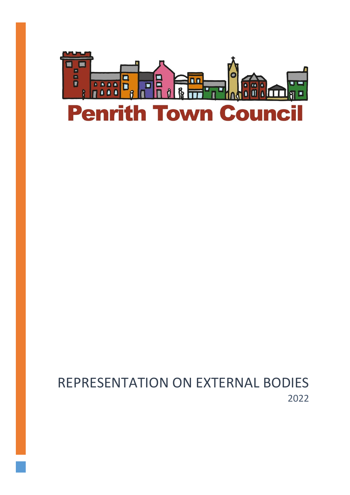

# REPRESENTATION ON EXTERNAL BODIES 2022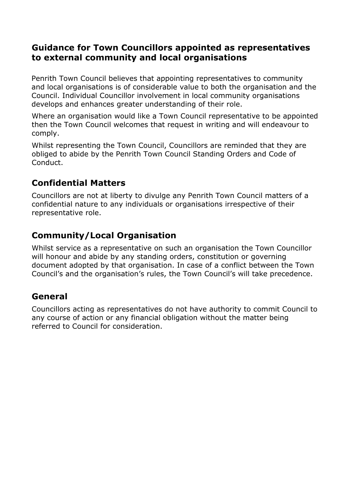#### **Guidance for Town Councillors appointed as representatives to external community and local organisations**

Penrith Town Council believes that appointing representatives to community and local organisations is of considerable value to both the organisation and the Council. Individual Councillor involvement in local community organisations develops and enhances greater understanding of their role.

Where an organisation would like a Town Council representative to be appointed then the Town Council welcomes that request in writing and will endeavour to comply.

Whilst representing the Town Council, Councillors are reminded that they are obliged to abide by the Penrith Town Council Standing Orders and Code of Conduct.

# **Confidential Matters**

Councillors are not at liberty to divulge any Penrith Town Council matters of a confidential nature to any individuals or organisations irrespective of their representative role.

## **Community/Local Organisation**

Whilst service as a representative on such an organisation the Town Councillor will honour and abide by any standing orders, constitution or governing document adopted by that organisation. In case of a conflict between the Town Council's and the organisation's rules, the Town Council's will take precedence.

## **General**

Councillors acting as representatives do not have authority to commit Council to any course of action or any financial obligation without the matter being referred to Council for consideration.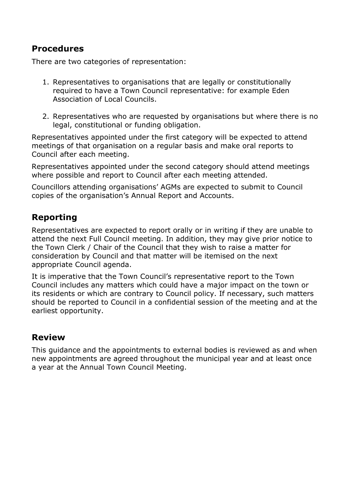#### **Procedures**

There are two categories of representation:

- 1. Representatives to organisations that are legally or constitutionally required to have a Town Council representative: for example Eden Association of Local Councils.
- 2. Representatives who are requested by organisations but where there is no legal, constitutional or funding obligation.

Representatives appointed under the first category will be expected to attend meetings of that organisation on a regular basis and make oral reports to Council after each meeting.

Representatives appointed under the second category should attend meetings where possible and report to Council after each meeting attended.

Councillors attending organisations' AGMs are expected to submit to Council copies of the organisation's Annual Report and Accounts.

## **Reporting**

Representatives are expected to report orally or in writing if they are unable to attend the next Full Council meeting. In addition, they may give prior notice to the Town Clerk / Chair of the Council that they wish to raise a matter for consideration by Council and that matter will be itemised on the next appropriate Council agenda.

It is imperative that the Town Council's representative report to the Town Council includes any matters which could have a major impact on the town or its residents or which are contrary to Council policy. If necessary, such matters should be reported to Council in a confidential session of the meeting and at the earliest opportunity.

#### **Review**

This guidance and the appointments to external bodies is reviewed as and when new appointments are agreed throughout the municipal year and at least once a year at the Annual Town Council Meeting.